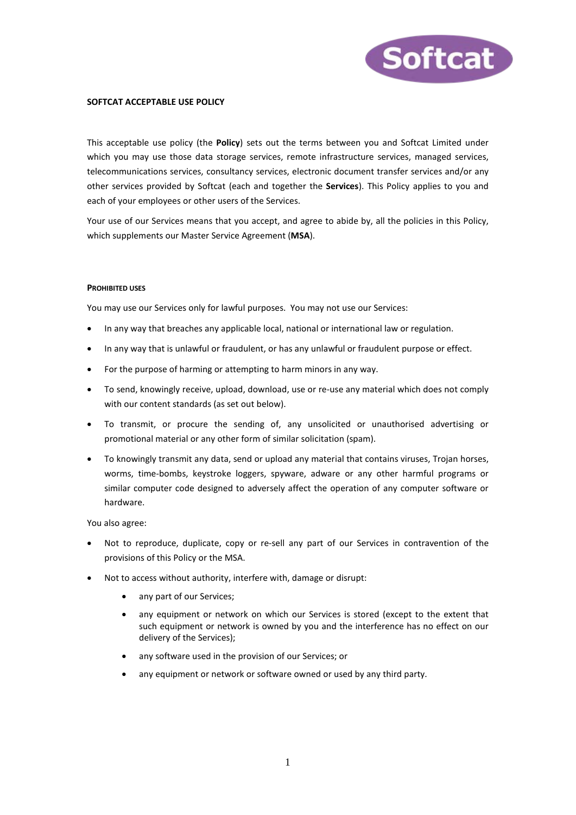

# **SOFTCAT ACCEPTABLE USE POLICY**

This acceptable use policy (the **Policy**) sets out the terms between you and Softcat Limited under which you may use those data storage services, remote infrastructure services, managed services, telecommunications services, consultancy services, electronic document transfer services and/or any other services provided by Softcat (each and together the **Services**). This Policy applies to you and each of your employees or other users of the Services.

Your use of our Services means that you accept, and agree to abide by, all the policies in this Policy, which supplements our Master Service Agreement (**MSA**).

#### **PROHIBITED USES**

You may use our Services only for lawful purposes. You may not use our Services:

- In any way that breaches any applicable local, national or international law or regulation.
- In any way that is unlawful or fraudulent, or has any unlawful or fraudulent purpose or effect.
- For the purpose of harming or attempting to harm minors in any way.
- To send, knowingly receive, upload, download, use or re-use any material which does not comply with our content standards (as set out below).
- To transmit, or procure the sending of, any unsolicited or unauthorised advertising or promotional material or any other form of similar solicitation (spam).
- To knowingly transmit any data, send or upload any material that contains viruses, Trojan horses, worms, time-bombs, keystroke loggers, spyware, adware or any other harmful programs or similar computer code designed to adversely affect the operation of any computer software or hardware.

You also agree:

- Not to reproduce, duplicate, copy or re-sell any part of our Services in contravention of the provisions of this Policy or the MSA.
- Not to access without authority, interfere with, damage or disrupt:
	- any part of our Services;
	- any equipment or network on which our Services is stored (except to the extent that such equipment or network is owned by you and the interference has no effect on our delivery of the Services);
	- any software used in the provision of our Services; or
	- any equipment or network or software owned or used by any third party.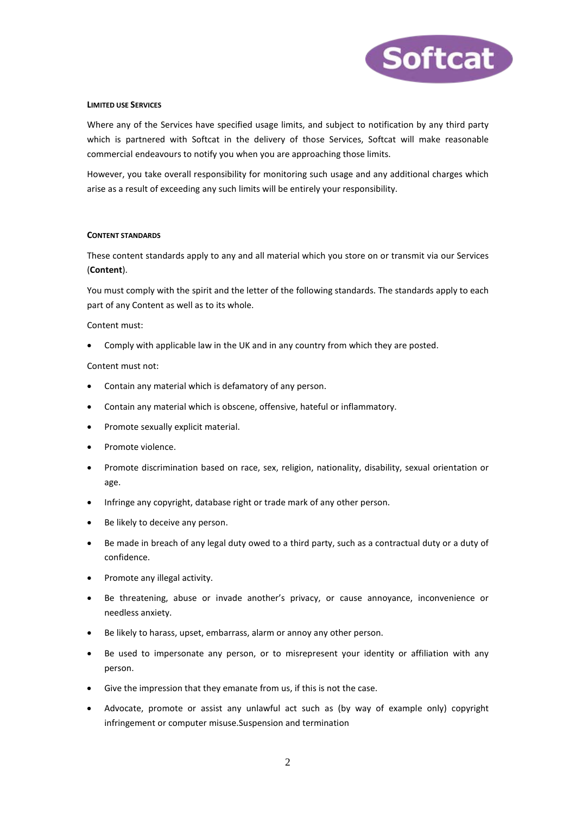

## **LIMITED USE SERVICES**

Where any of the Services have specified usage limits, and subject to notification by any third party which is partnered with Softcat in the delivery of those Services, Softcat will make reasonable commercial endeavours to notify you when you are approaching those limits.

However, you take overall responsibility for monitoring such usage and any additional charges which arise as a result of exceeding any such limits will be entirely your responsibility.

### **CONTENT STANDARDS**

These content standards apply to any and all material which you store on or transmit via our Services (**Content**).

You must comply with the spirit and the letter of the following standards. The standards apply to each part of any Content as well as to its whole.

Content must:

• Comply with applicable law in the UK and in any country from which they are posted.

Content must not:

- Contain any material which is defamatory of any person.
- Contain any material which is obscene, offensive, hateful or inflammatory.
- Promote sexually explicit material.
- Promote violence.
- Promote discrimination based on race, sex, religion, nationality, disability, sexual orientation or age.
- Infringe any copyright, database right or trade mark of any other person.
- Be likely to deceive any person.
- Be made in breach of any legal duty owed to a third party, such as a contractual duty or a duty of confidence.
- Promote any illegal activity.
- Be threatening, abuse or invade another's privacy, or cause annoyance, inconvenience or needless anxiety.
- Be likely to harass, upset, embarrass, alarm or annoy any other person.
- Be used to impersonate any person, or to misrepresent your identity or affiliation with any person.
- Give the impression that they emanate from us, if this is not the case.
- Advocate, promote or assist any unlawful act such as (by way of example only) copyright infringement or computer misuse.Suspension and termination